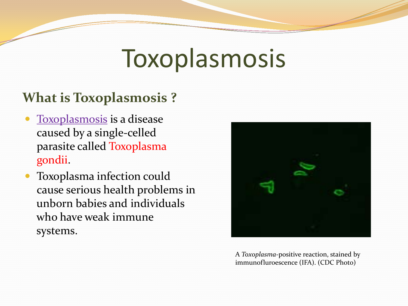# Toxoplasmosis

#### **What is Toxoplasmosis ?**

- Toxoplasmosis is a disease caused by a single-celled parasite called Toxoplasma gondii.
- Toxoplasma infection could cause serious health problems in unborn babies and individuals who have weak immune systems.



A *Toxoplasma*-positive reaction, stained by immunofluroescence (IFA). (CDC Photo)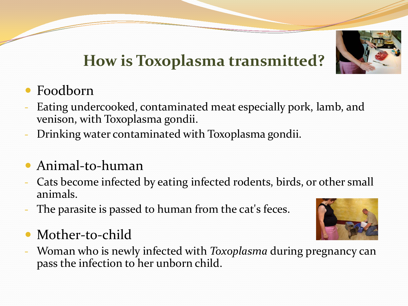

# **How is Toxoplasma transmitted?**

- Foodborn
- Eating undercooked, contaminated meat especially pork, lamb, and venison, with Toxoplasma gondii.
- Drinking water contaminated with Toxoplasma gondii.
- Animal-to-human
- Cats become infected by eating infected rodents, birds, or other small animals.
- The parasite is passed to human from the cat's feces.
- Mother-to-child
- Woman who is newly infected with *Toxoplasma* during pregnancy can pass the infection to her unborn child.

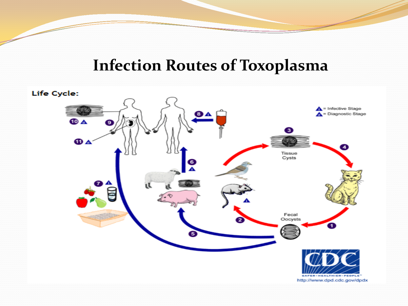#### **Infection Routes of Toxoplasma**

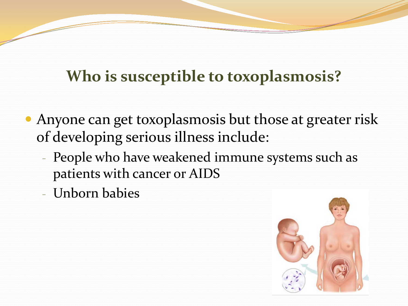## **Who is susceptible to toxoplasmosis?**

- Anyone can get toxoplasmosis but those at greater risk of developing serious illness include:
	- People who have weakened immune systems such as patients with cancer or AIDS
	- Unborn babies

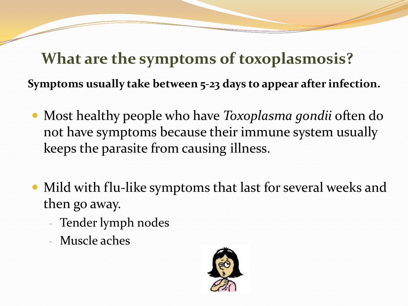**What are the symptoms of toxoplasmosis? Symptoms usually take between 5-23 days to appear after infection.**

- Most healthy people who have *Toxoplasma gondii* often do not have symptoms because their immune system usually keeps the parasite from causing illness.
- Mild with flu-like symptoms that last for several weeks and then go away.
	- Tender lymph nodes
	- Muscle aches

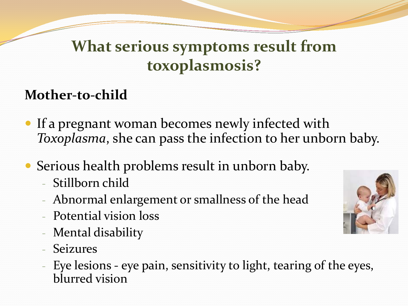## **What serious symptoms result from toxoplasmosis?**

#### **Mother-to-child**

- If a pregnant woman becomes newly infected with *Toxoplasma*, she can pass the infection to her unborn baby.
- Serious health problems result in unborn baby.
	- Stillborn child
	- Abnormal enlargement or smallness of the head
	- Potential vision loss
	- Mental disability
	- Seizures
	- Eye lesions eye pain, sensitivity to light, tearing of the eyes, blurred vision

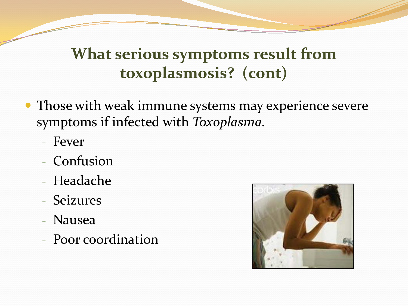## **What serious symptoms result from toxoplasmosis? (cont)**

- Those with weak immune systems may experience severe symptoms if infected with *Toxoplasma.*
	- Fever
	- Confusion
	- Headache
	- Seizures
	- Nausea
	- Poor coordination

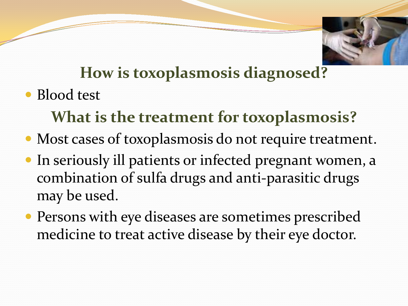

## **How is toxoplasmosis diagnosed?**

• Blood test

# **What is the treatment for toxoplasmosis?**

- Most cases of toxoplasmosis do not require treatment.
- In seriously ill patients or infected pregnant women, a combination of sulfa drugs and anti-parasitic drugs may be used.
- Persons with eye diseases are sometimes prescribed medicine to treat active disease by their eye doctor.